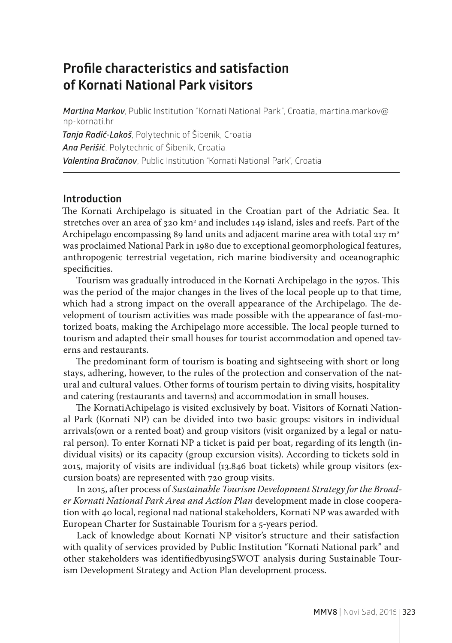# **Profile characteristics and satisfaction of Kornati National Park visitors**

*Martina Markov*, Public Institution "Kornati National Park", Croatia, martina.markov@ np-kornati.hr *Tanja Radić-Lakoš*, Polytechnic of Šibenik, Croatia *Ana Perišić*, Polytechnic of Šibenik, Croatia *Valentina Bračanov*, Public Institution "Kornati National Park", Croatia

#### **Introduction**

The Kornati Archipelago is situated in the Croatian part of the Adriatic Sea. It stretches over an area of 320  $\rm km^2$  and includes 149 island, isles and reefs. Part of the Archipelago encompassing 89 land units and adjacent marine area with total  $217 \text{ m}^2$ was proclaimed National Park in 1980 due to exceptional geomorphological features, anthropogenic terrestrial vegetation, rich marine biodiversity and oceanographic specificities.

Tourism was gradually introduced in the Kornati Archipelago in the 1970s. This was the period of the major changes in the lives of the local people up to that time, which had a strong impact on the overall appearance of the Archipelago. The development of tourism activities was made possible with the appearance of fast-motorized boats, making the Archipelago more accessible. The local people turned to tourism and adapted their small houses for tourist accommodation and opened taverns and restaurants.

The predominant form of tourism is boating and sightseeing with short or long stays, adhering, however, to the rules of the protection and conservation of the natural and cultural values. Other forms of tourism pertain to diving visits, hospitality and catering (restaurants and taverns) and accommodation in small houses.

The KornatiAchipelago is visited exclusively by boat. Visitors of Kornati National Park (Kornati NP) can be divided into two basic groups: visitors in individual arrivals(own or a rented boat) and group visitors (visit organized by a legal or natural person). To enter Kornati NP a ticket is paid per boat, regarding of its length (individual visits) or its capacity (group excursion visits). According to tickets sold in 2015, majority of visits are individual (13.846 boat tickets) while group visitors (excursion boats) are represented with 720 group visits.

In 2015, after process of *Sustainable Tourism Development Strategy for the Broader Kornati National Park Area and Action Plan* development made in close cooperation with 40 local, regional nad national stakeholders, Kornati NP was awarded with European Charter for Sustainable Tourism for a 5-years period.

Lack of knowledge about Kornati NP visitor's structure and their satisfaction with quality of services provided by Public Institution "Kornati National park" and other stakeholders was identifiedbyusingSWOT analysis during Sustainable Tourism Development Strategy and Action Plan development process.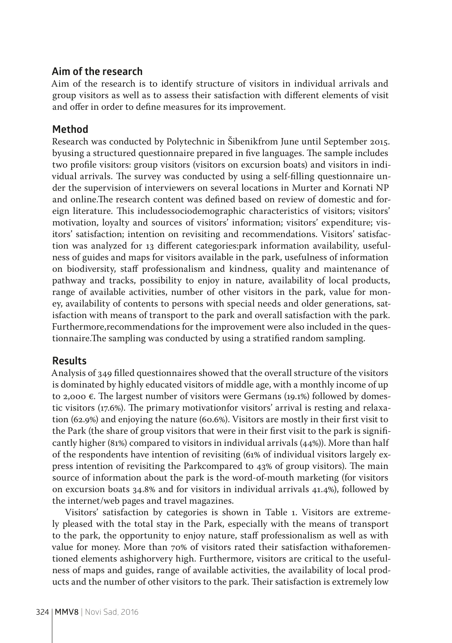#### **Aim of the research**

Aim of the research is to identify structure of visitors in individual arrivals and group visitors as well as to assess their satisfaction with different elements of visit and offer in order to define measures for its improvement.

## **Method**

Research was conducted by Polytechnic in Šibenikfrom June until September 2015. byusing a structured questionnaire prepared in five languages. The sample includes two profile visitors: group visitors (visitors on excursion boats) and visitors in individual arrivals. The survey was conducted by using a self-filling questionnaire under the supervision of interviewers on several locations in Murter and Kornati NP and online.The research content was defined based on review of domestic and foreign literature. This includessociodemographic characteristics of visitors; visitors' motivation, loyalty and sources of visitors' information; visitors' expenditure; visitors' satisfaction; intention on revisiting and recommendations. Visitors' satisfaction was analyzed for 13 different categories:park information availability, usefulness of guides and maps for visitors available in the park, usefulness of information on biodiversity, staff professionalism and kindness, quality and maintenance of pathway and tracks, possibility to enjoy in nature, availability of local products, range of available activities, number of other visitors in the park, value for money, availability of contents to persons with special needs and older generations, satisfaction with means of transport to the park and overall satisfaction with the park. Furthermore,recommendations for the improvement were also included in the questionnaire.The sampling was conducted by using a stratified random sampling.

## **Results**

Analysis of 349 filled questionnaires showed that the overall structure of the visitors is dominated by highly educated visitors of middle age, with a monthly income of up to 2,000  $\varepsilon$ . The largest number of visitors were Germans (19.1%) followed by domestic visitors (17.6%). The primary motivationfor visitors' arrival is resting and relaxation (62.9%) and enjoying the nature (60.6%). Visitors are mostly in their first visit to the Park (the share of group visitors that were in their first visit to the park is significantly higher (81%) compared to visitors in individual arrivals (44%)). More than half of the respondents have intention of revisiting (61% of individual visitors largely express intention of revisiting the Parkcompared to 43% of group visitors). The main source of information about the park is the word-of-mouth marketing (for visitors on excursion boats 34.8% and for visitors in individual arrivals 41.4%), followed by the internet/web pages and travel magazines.

Visitors' satisfaction by categories is shown in Table 1. Visitors are extremely pleased with the total stay in the Park, especially with the means of transport to the park, the opportunity to enjoy nature, staff professionalism as well as with value for money. More than 70% of visitors rated their satisfaction withaforementioned elements ashighorvery high. Furthermore, visitors are critical to the usefulness of maps and guides, range of available activities, the availability of local products and the number of other visitors to the park. Their satisfaction is extremely low